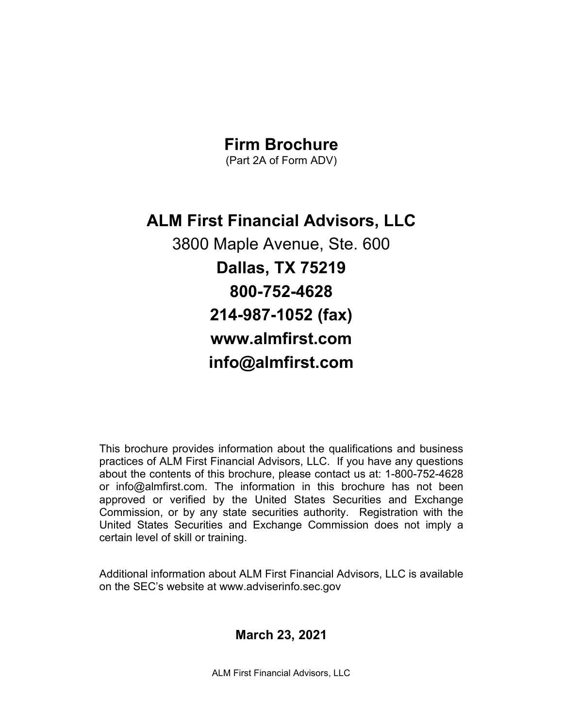### **Firm Brochure**

(Part 2A of Form ADV)

**ALM First Financial Advisors, LLC**

3800 Maple Avenue, Ste. 600 **Dallas, TX 75219 800-752-4628 214-987-1052 (fax) www.almfirst.com info@almfirst.com**

This brochure provides information about the qualifications and business practices of ALM First Financial Advisors, LLC. If you have any questions about the contents of this brochure, please contact us at: 1-800-752-4628 or info@almfirst.com. The information in this brochure has not been approved or verified by the United States Securities and Exchange Commission, or by any state securities authority. Registration with the United States Securities and Exchange Commission does not imply a certain level of skill or training.

Additional information about ALM First Financial Advisors, LLC is available on the SEC's website at www.adviserinfo.sec.gov

### **March 23, 2021**

ALM First Financial Advisors, LLC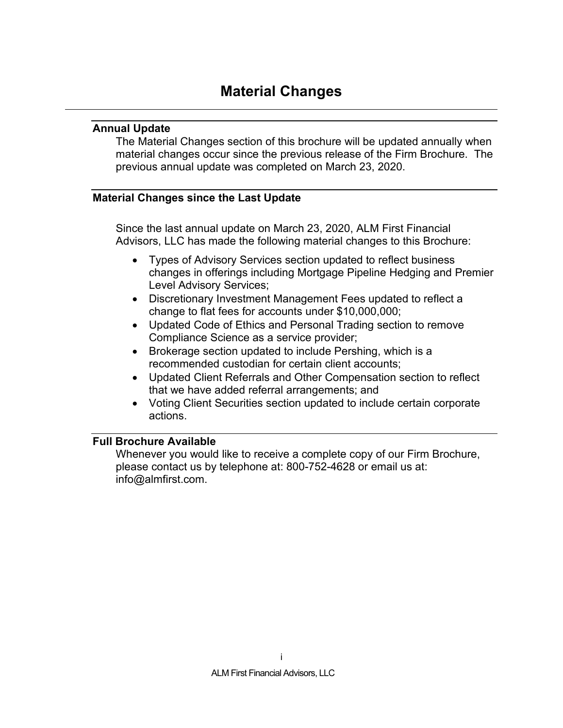### <span id="page-1-1"></span><span id="page-1-0"></span>**Annual Update**

The Material Changes section of this brochure will be updated annually when material changes occur since the previous release of the Firm Brochure. The previous annual update was completed on March 23, 2020.

### <span id="page-1-2"></span>**Material Changes since the Last Update**

Since the last annual update on March 23, 2020, ALM First Financial Advisors, LLC has made the following material changes to this Brochure:

- Types of Advisory Services section updated to reflect business changes in offerings including Mortgage Pipeline Hedging and Premier Level Advisory Services;
- Discretionary Investment Management Fees updated to reflect a change to flat fees for accounts under \$10,000,000;
- Updated Code of Ethics and Personal Trading section to remove Compliance Science as a service provider;
- Brokerage section updated to include Pershing, which is a recommended custodian for certain client accounts;
- Updated Client Referrals and Other Compensation section to reflect that we have added referral arrangements; and
- Voting Client Securities section updated to include certain corporate actions.

### <span id="page-1-3"></span>**Full Brochure Available**

Whenever you would like to receive a complete copy of our Firm Brochure, please contact us by telephone at: 800-752-4628 or email us at: info@almfirst.com.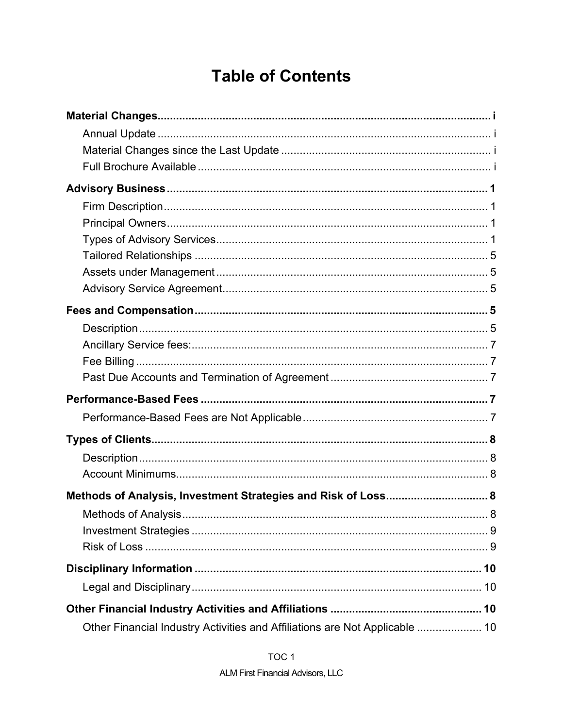## **Table of Contents**

| Methods of Analysis, Investment Strategies and Risk of Loss 8               |  |
|-----------------------------------------------------------------------------|--|
|                                                                             |  |
|                                                                             |  |
|                                                                             |  |
|                                                                             |  |
|                                                                             |  |
|                                                                             |  |
| Other Financial Industry Activities and Affiliations are Not Applicable  10 |  |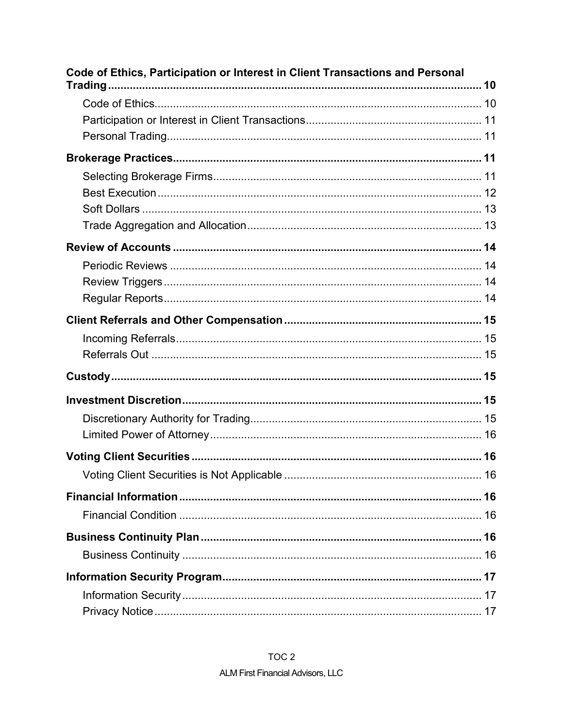| Code of Ethics, Participation or Interest in Client Transactions and Personal |  |
|-------------------------------------------------------------------------------|--|
|                                                                               |  |
|                                                                               |  |
|                                                                               |  |
|                                                                               |  |
|                                                                               |  |
|                                                                               |  |
|                                                                               |  |
|                                                                               |  |
|                                                                               |  |
|                                                                               |  |
|                                                                               |  |
|                                                                               |  |
|                                                                               |  |
|                                                                               |  |
|                                                                               |  |
|                                                                               |  |
|                                                                               |  |
|                                                                               |  |
|                                                                               |  |
|                                                                               |  |
|                                                                               |  |
|                                                                               |  |
|                                                                               |  |
|                                                                               |  |
|                                                                               |  |
|                                                                               |  |
|                                                                               |  |
|                                                                               |  |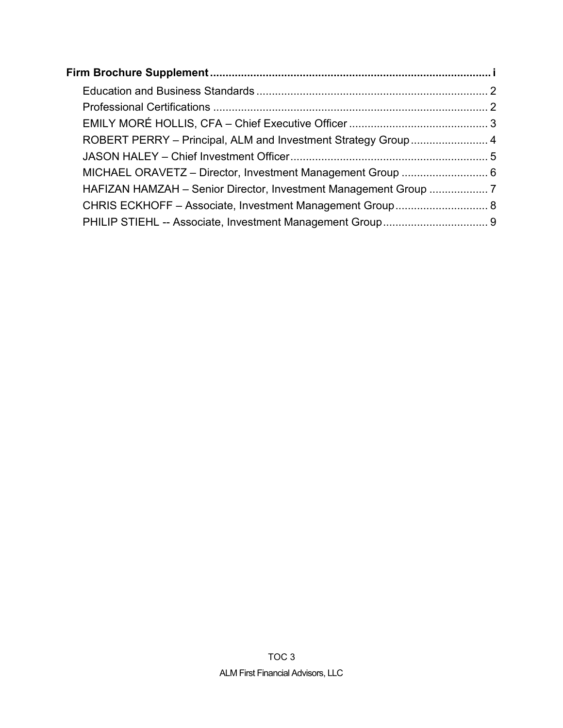| CHRIS ECKHOFF - Associate, Investment Management Group 8 |  |
|----------------------------------------------------------|--|
|                                                          |  |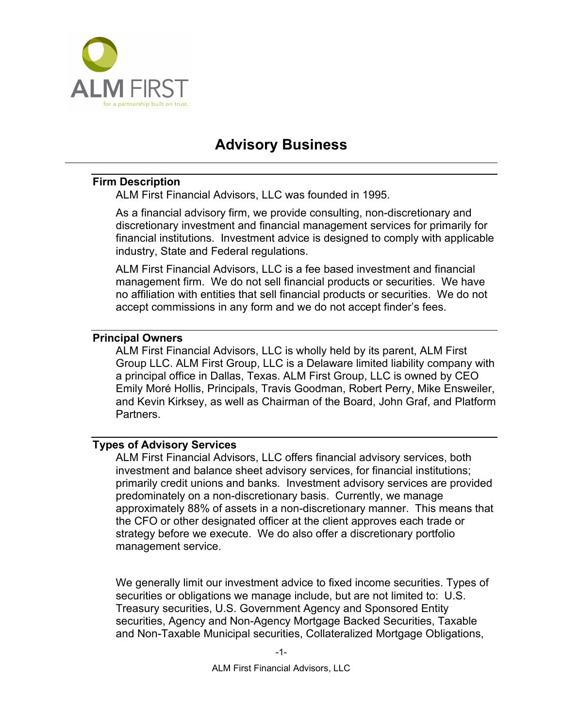

## **Advisory Business**

### <span id="page-5-1"></span><span id="page-5-0"></span>**Firm Description**

ALM First Financial Advisors, LLC was founded in 1995.

As a financial advisory firm, we provide consulting, non-discretionary and discretionary investment and financial management services for primarily for financial institutions. Investment advice is designed to comply with applicable industry, State and Federal regulations.

ALM First Financial Advisors, LLC is a fee based investment and financial management firm. We do not sell financial products or securities. We have no affiliation with entities that sell financial products or securities. We do not accept commissions in any form and we do not accept finder's fees.

### <span id="page-5-2"></span>**Principal Owners**

ALM First Financial Advisors, LLC is wholly held by its parent, ALM First Group LLC. ALM First Group, LLC is a Delaware limited liability company with a principal office in Dallas, Texas. ALM First Group, LLC is owned by CEO Emily Moré Hollis, Principals, Travis Goodman, Robert Perry, Mike Ensweiler, and Kevin Kirksey, as well as Chairman of the Board, John Graf, and Platform Partners.

### <span id="page-5-3"></span>**Types of Advisory Services**

ALM First Financial Advisors, LLC offers financial advisory services, both investment and balance sheet advisory services, for financial institutions; primarily credit unions and banks. Investment advisory services are provided predominately on a non-discretionary basis. Currently, we manage approximately 88% of assets in a non-discretionary manner. This means that the CFO or other designated officer at the client approves each trade or strategy before we execute. We do also offer a discretionary portfolio management service.

We generally limit our investment advice to fixed income securities. Types of securities or obligations we manage include, but are not limited to: U.S. Treasury securities, U.S. Government Agency and Sponsored Entity securities, Agency and Non-Agency Mortgage Backed Securities, Taxable and Non-Taxable Municipal securities, Collateralized Mortgage Obligations,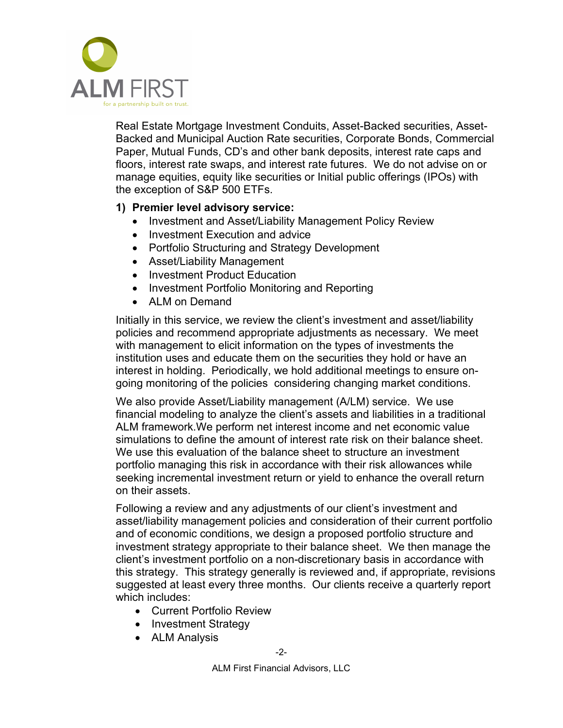

Real Estate Mortgage Investment Conduits, Asset-Backed securities, Asset-Backed and Municipal Auction Rate securities, Corporate Bonds, Commercial Paper, Mutual Funds, CD's and other bank deposits, interest rate caps and floors, interest rate swaps, and interest rate futures. We do not advise on or manage equities, equity like securities or Initial public offerings (IPOs) with the exception of S&P 500 ETFs.

### **1) Premier level advisory service:**

- Investment and Asset/Liability Management Policy Review
- Investment Execution and advice
- Portfolio Structuring and Strategy Development
- Asset/Liability Management
- Investment Product Education
- Investment Portfolio Monitoring and Reporting
- ALM on Demand

Initially in this service, we review the client's investment and asset/liability policies and recommend appropriate adjustments as necessary. We meet with management to elicit information on the types of investments the institution uses and educate them on the securities they hold or have an interest in holding. Periodically, we hold additional meetings to ensure ongoing monitoring of the policies considering changing market conditions.

We also provide Asset/Liability management (A/LM) service. We use financial modeling to analyze the client's assets and liabilities in a traditional ALM framework.We perform net interest income and net economic value simulations to define the amount of interest rate risk on their balance sheet. We use this evaluation of the balance sheet to structure an investment portfolio managing this risk in accordance with their risk allowances while seeking incremental investment return or yield to enhance the overall return on their assets.

Following a review and any adjustments of our client's investment and asset/liability management policies and consideration of their current portfolio and of economic conditions, we design a proposed portfolio structure and investment strategy appropriate to their balance sheet. We then manage the client's investment portfolio on a non-discretionary basis in accordance with this strategy. This strategy generally is reviewed and, if appropriate, revisions suggested at least every three months. Our clients receive a quarterly report which includes:

- Current Portfolio Review
- Investment Strategy
- ALM Analysis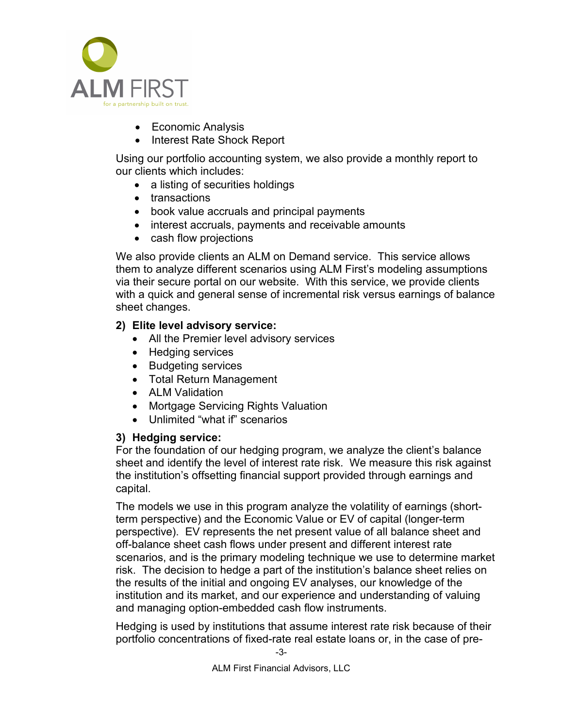

- Economic Analysis
- Interest Rate Shock Report

Using our portfolio accounting system, we also provide a monthly report to our clients which includes:

- a listing of securities holdings
- transactions
- book value accruals and principal payments
- interest accruals, payments and receivable amounts
- cash flow projections

We also provide clients an ALM on Demand service. This service allows them to analyze different scenarios using ALM First's modeling assumptions via their secure portal on our website. With this service, we provide clients with a quick and general sense of incremental risk versus earnings of balance sheet changes.

### **2) Elite level advisory service:**

- All the Premier level advisory services
- Hedging services
- Budgeting services
- Total Return Management
- ALM Validation
- Mortgage Servicing Rights Valuation
- Unlimited "what if" scenarios

### **3) Hedging service:**

For the foundation of our hedging program, we analyze the client's balance sheet and identify the level of interest rate risk. We measure this risk against the institution's offsetting financial support provided through earnings and capital.

The models we use in this program analyze the volatility of earnings (shortterm perspective) and the Economic Value or EV of capital (longer-term perspective). EV represents the net present value of all balance sheet and off-balance sheet cash flows under present and different interest rate scenarios, and is the primary modeling technique we use to determine market risk. The decision to hedge a part of the institution's balance sheet relies on the results of the initial and ongoing EV analyses, our knowledge of the institution and its market, and our experience and understanding of valuing and managing option-embedded cash flow instruments.

Hedging is used by institutions that assume interest rate risk because of their portfolio concentrations of fixed-rate real estate loans or, in the case of pre-

ALM First Financial Advisors, LLC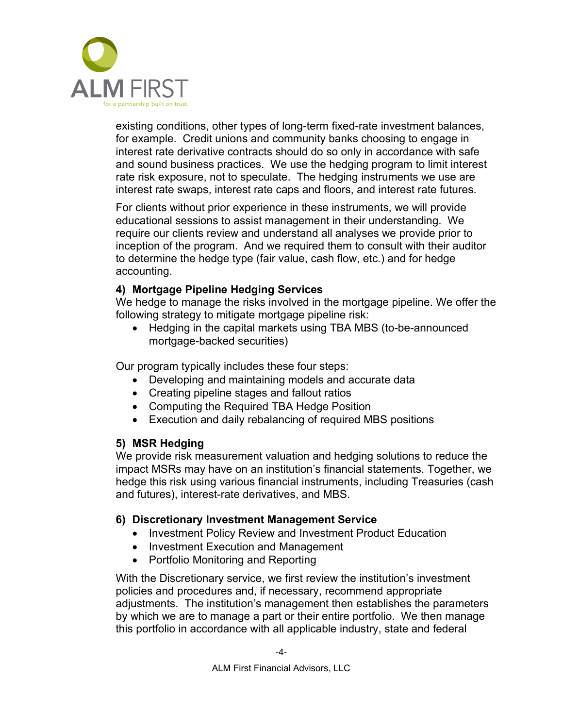

existing conditions, other types of long-term fixed-rate investment balances, for example. Credit unions and community banks choosing to engage in interest rate derivative contracts should do so only in accordance with safe and sound business practices. We use the hedging program to limit interest rate risk exposure, not to speculate. The hedging instruments we use are interest rate swaps, interest rate caps and floors, and interest rate futures.

For clients without prior experience in these instruments, we will provide educational sessions to assist management in their understanding. We require our clients review and understand all analyses we provide prior to inception of the program. And we required them to consult with their auditor to determine the hedge type (fair value, cash flow, etc.) and for hedge accounting.

### **4) Mortgage Pipeline Hedging Services**

We hedge to manage the risks involved in the mortgage pipeline. We offer the following strategy to mitigate mortgage pipeline risk:

• Hedging in the capital markets using TBA MBS (to-be-announced mortgage-backed securities)

Our program typically includes these four steps:

- Developing and maintaining models and accurate data
- Creating pipeline stages and fallout ratios
- Computing the Required TBA Hedge Position
- Execution and daily rebalancing of required MBS positions

### **5) MSR Hedging**

We provide risk measurement valuation and hedging solutions to reduce the impact MSRs may have on an institution's financial statements. Together, we hedge this risk using various financial instruments, including Treasuries (cash and futures), interest-rate derivatives, and MBS.

### **6) Discretionary Investment Management Service**

- Investment Policy Review and Investment Product Education
- Investment Execution and Management
- Portfolio Monitoring and Reporting

With the Discretionary service, we first review the institution's investment policies and procedures and, if necessary, recommend appropriate adjustments. The institution's management then establishes the parameters by which we are to manage a part or their entire portfolio. We then manage this portfolio in accordance with all applicable industry, state and federal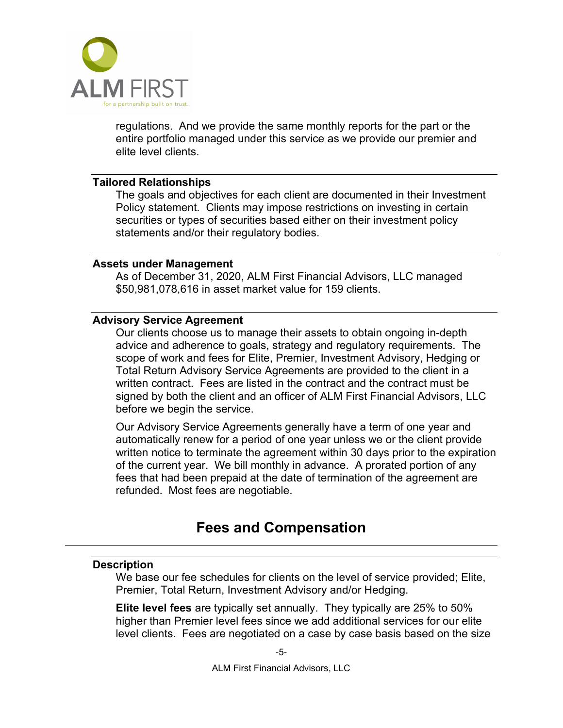

regulations. And we provide the same monthly reports for the part or the entire portfolio managed under this service as we provide our premier and elite level clients.

#### <span id="page-9-0"></span>**Tailored Relationships**

The goals and objectives for each client are documented in their Investment Policy statement. Clients may impose restrictions on investing in certain securities or types of securities based either on their investment policy statements and/or their regulatory bodies.

#### <span id="page-9-1"></span>**Assets under Management**

As of December 31, 2020, ALM First Financial Advisors, LLC managed \$50,981,078,616 in asset market value for 159 clients.

### <span id="page-9-2"></span>**Advisory Service Agreement**

Our clients choose us to manage their assets to obtain ongoing in-depth advice and adherence to goals, strategy and regulatory requirements. The scope of work and fees for Elite, Premier, Investment Advisory, Hedging or Total Return Advisory Service Agreements are provided to the client in a written contract. Fees are listed in the contract and the contract must be signed by both the client and an officer of ALM First Financial Advisors, LLC before we begin the service.

Our Advisory Service Agreements generally have a term of one year and automatically renew for a period of one year unless we or the client provide written notice to terminate the agreement within 30 days prior to the expiration of the current year. We bill monthly in advance. A prorated portion of any fees that had been prepaid at the date of termination of the agreement are refunded. Most fees are negotiable.

### **Fees and Compensation**

### <span id="page-9-4"></span><span id="page-9-3"></span>**Description**

We base our fee schedules for clients on the level of service provided; Elite, Premier, Total Return, Investment Advisory and/or Hedging.

**Elite level fees** are typically set annually. They typically are 25% to 50% higher than Premier level fees since we add additional services for our elite level clients. Fees are negotiated on a case by case basis based on the size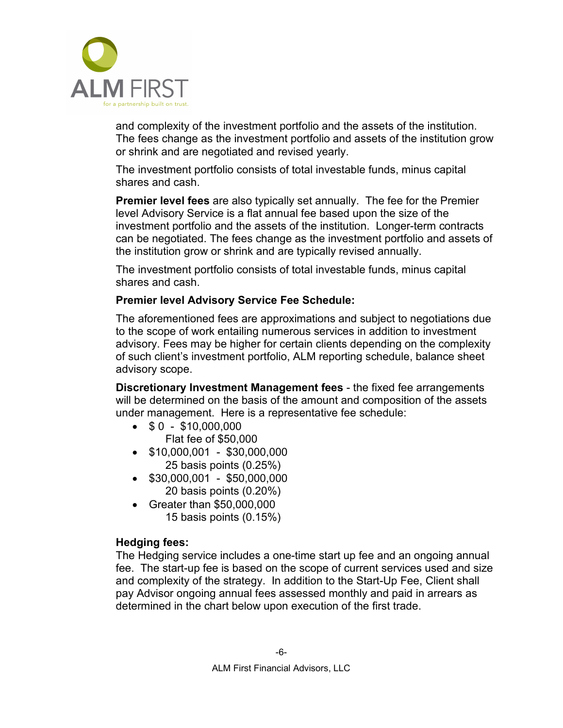

and complexity of the investment portfolio and the assets of the institution. The fees change as the investment portfolio and assets of the institution grow or shrink and are negotiated and revised yearly.

The investment portfolio consists of total investable funds, minus capital shares and cash.

**Premier level fees** are also typically set annually. The fee for the Premier level Advisory Service is a flat annual fee based upon the size of the investment portfolio and the assets of the institution. Longer-term contracts can be negotiated. The fees change as the investment portfolio and assets of the institution grow or shrink and are typically revised annually.

The investment portfolio consists of total investable funds, minus capital shares and cash.

### **Premier level Advisory Service Fee Schedule:**

The aforementioned fees are approximations and subject to negotiations due to the scope of work entailing numerous services in addition to investment advisory. Fees may be higher for certain clients depending on the complexity of such client's investment portfolio, ALM reporting schedule, balance sheet advisory scope.

**Discretionary Investment Management fees** - the fixed fee arrangements will be determined on the basis of the amount and composition of the assets under management. Here is a representative fee schedule:

- $\bullet$  \$ 0 \$10,000,000 Flat fee of \$50,000
- \$10,000,001 \$30,000,000 25 basis points (0.25%)
- $\bullet$  \$30,000,001 \$50,000,000 20 basis points (0.20%)
- Greater than \$50,000,000 15 basis points (0.15%)

### **Hedging fees:**

The Hedging service includes a one-time start up fee and an ongoing annual fee. The start-up fee is based on the scope of current services used and size and complexity of the strategy. In addition to the Start-Up Fee, Client shall pay Advisor ongoing annual fees assessed monthly and paid in arrears as determined in the chart below upon execution of the first trade.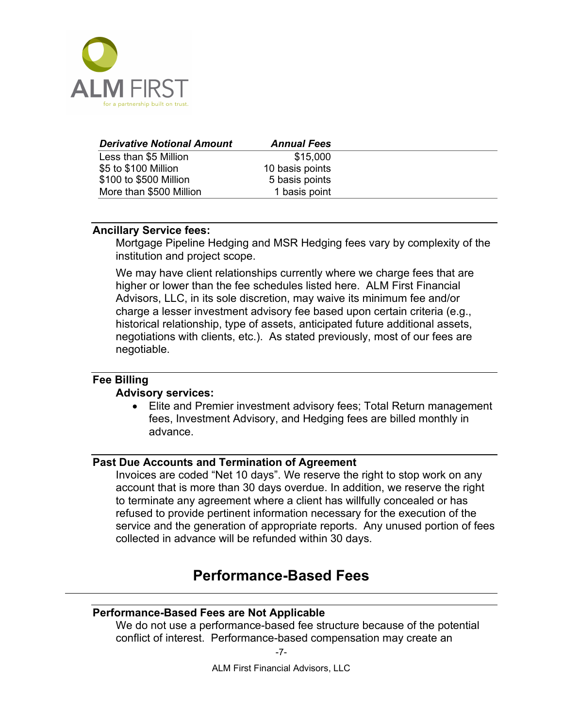

| <b>Derivative Notional Amount</b> | <b>Annual Fees</b> |  |
|-----------------------------------|--------------------|--|
| Less than \$5 Million             | \$15,000           |  |
| \$5 to \$100 Million              | 10 basis points    |  |
| \$100 to \$500 Million            | 5 basis points     |  |
| More than \$500 Million           | 1 basis point      |  |

#### <span id="page-11-0"></span>**Ancillary Service fees:**

Mortgage Pipeline Hedging and MSR Hedging fees vary by complexity of the institution and project scope.

We may have client relationships currently where we charge fees that are higher or lower than the fee schedules listed here. ALM First Financial Advisors, LLC, in its sole discretion, may waive its minimum fee and/or charge a lesser investment advisory fee based upon certain criteria (e.g., historical relationship, type of assets, anticipated future additional assets, negotiations with clients, etc.). As stated previously, most of our fees are negotiable.

## <span id="page-11-1"></span>**Fee Billing**

### **Advisory services:**

• Elite and Premier investment advisory fees; Total Return management fees, Investment Advisory, and Hedging fees are billed monthly in advance.

### <span id="page-11-2"></span>**Past Due Accounts and Termination of Agreement**

Invoices are coded "Net 10 days". We reserve the right to stop work on any account that is more than 30 days overdue. In addition, we reserve the right to terminate any agreement where a client has willfully concealed or has refused to provide pertinent information necessary for the execution of the service and the generation of appropriate reports. Any unused portion of fees collected in advance will be refunded within 30 days.

### **Performance-Based Fees**

### <span id="page-11-4"></span><span id="page-11-3"></span>**Performance-Based Fees are Not Applicable**

We do not use a performance-based fee structure because of the potential conflict of interest. Performance-based compensation may create an

-7-

ALM First Financial Advisors, LLC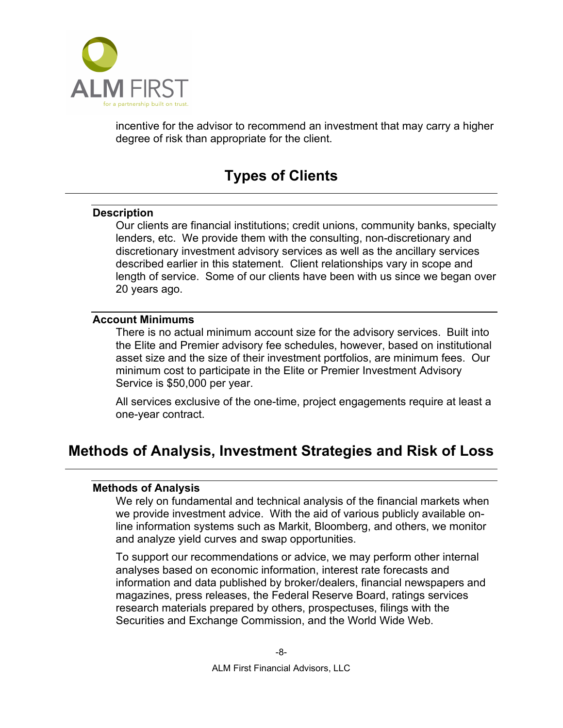

<span id="page-12-0"></span>incentive for the advisor to recommend an investment that may carry a higher degree of risk than appropriate for the client.

## **Types of Clients**

### <span id="page-12-1"></span>**Description**

Our clients are financial institutions; credit unions, community banks, specialty lenders, etc. We provide them with the consulting, non-discretionary and discretionary investment advisory services as well as the ancillary services described earlier in this statement. Client relationships vary in scope and length of service. Some of our clients have been with us since we began over 20 years ago.

### <span id="page-12-2"></span>**Account Minimums**

There is no actual minimum account size for the advisory services. Built into the Elite and Premier advisory fee schedules, however, based on institutional asset size and the size of their investment portfolios, are minimum fees. Our minimum cost to participate in the Elite or Premier Investment Advisory Service is \$50,000 per year.

All services exclusive of the one-time, project engagements require at least a one-year contract.

### <span id="page-12-4"></span><span id="page-12-3"></span>**Methods of Analysis, Investment Strategies and Risk of Loss**

### **Methods of Analysis**

We rely on fundamental and technical analysis of the financial markets when we provide investment advice. With the aid of various publicly available online information systems such as Markit, Bloomberg, and others, we monitor and analyze yield curves and swap opportunities.

To support our recommendations or advice, we may perform other internal analyses based on economic information, interest rate forecasts and information and data published by broker/dealers, financial newspapers and magazines, press releases, the Federal Reserve Board, ratings services research materials prepared by others, prospectuses, filings with the Securities and Exchange Commission, and the World Wide Web.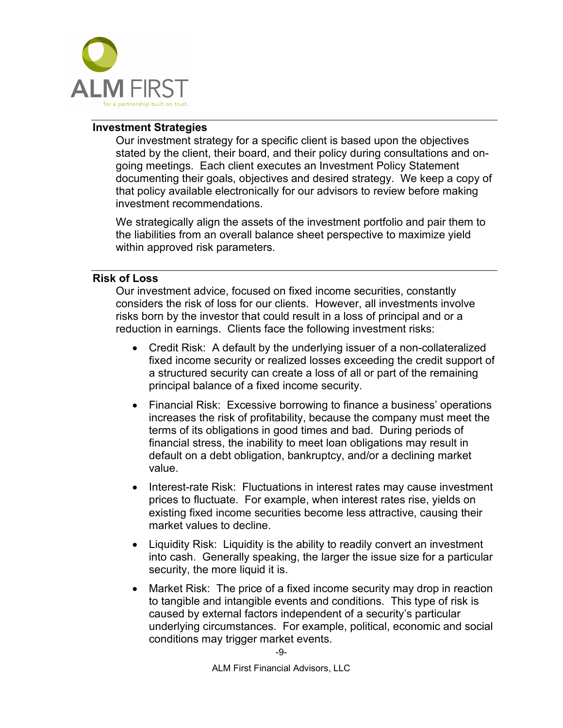

### <span id="page-13-0"></span>**Investment Strategies**

Our investment strategy for a specific client is based upon the objectives stated by the client, their board, and their policy during consultations and ongoing meetings. Each client executes an Investment Policy Statement documenting their goals, objectives and desired strategy. We keep a copy of that policy available electronically for our advisors to review before making investment recommendations.

We strategically align the assets of the investment portfolio and pair them to the liabilities from an overall balance sheet perspective to maximize yield within approved risk parameters.

### <span id="page-13-1"></span>**Risk of Loss**

Our investment advice, focused on fixed income securities, constantly considers the risk of loss for our clients. However, all investments involve risks born by the investor that could result in a loss of principal and or a reduction in earnings. Clients face the following investment risks:

- Credit Risk: A default by the underlying issuer of a non-collateralized fixed income security or realized losses exceeding the credit support of a structured security can create a loss of all or part of the remaining principal balance of a fixed income security.
- Financial Risk: Excessive borrowing to finance a business' operations increases the risk of profitability, because the company must meet the terms of its obligations in good times and bad. During periods of financial stress, the inability to meet loan obligations may result in default on a debt obligation, bankruptcy, and/or a declining market value.
- Interest-rate Risk: Fluctuations in interest rates may cause investment prices to fluctuate. For example, when interest rates rise, yields on existing fixed income securities become less attractive, causing their market values to decline.
- Liquidity Risk: Liquidity is the ability to readily convert an investment into cash. Generally speaking, the larger the issue size for a particular security, the more liquid it is.
- Market Risk: The price of a fixed income security may drop in reaction to tangible and intangible events and conditions. This type of risk is caused by external factors independent of a security's particular underlying circumstances. For example, political, economic and social conditions may trigger market events.

-9-

ALM First Financial Advisors, LLC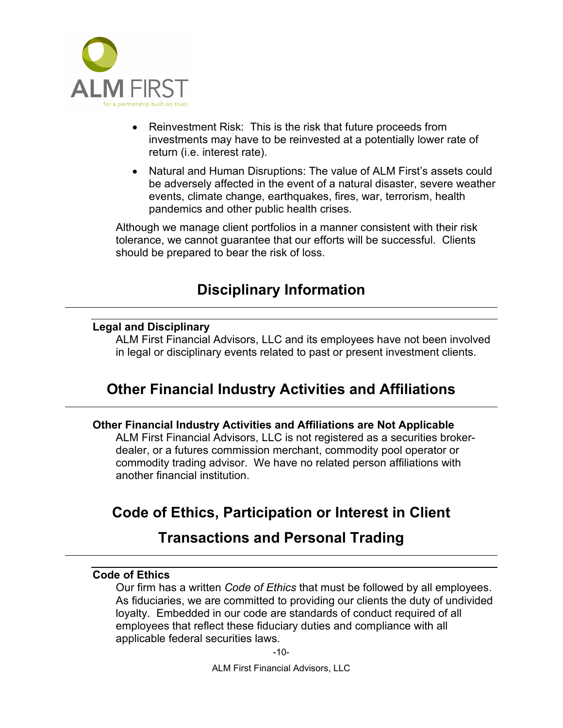

- Reinvestment Risk: This is the risk that future proceeds from investments may have to be reinvested at a potentially lower rate of return (i.e. interest rate).
- Natural and Human Disruptions: The value of ALM First's assets could be adversely affected in the event of a natural disaster, severe weather events, climate change, earthquakes, fires, war, terrorism, health pandemics and other public health crises.

Although we manage client portfolios in a manner consistent with their risk tolerance, we cannot guarantee that our efforts will be successful. Clients should be prepared to bear the risk of loss.

## **Disciplinary Information**

### <span id="page-14-1"></span><span id="page-14-0"></span>**Legal and Disciplinary**

ALM First Financial Advisors, LLC and its employees have not been involved in legal or disciplinary events related to past or present investment clients.

## <span id="page-14-2"></span>**Other Financial Industry Activities and Affiliations**

### <span id="page-14-3"></span>**Other Financial Industry Activities and Affiliations are Not Applicable**

ALM First Financial Advisors, LLC is not registered as a securities brokerdealer, or a futures commission merchant, commodity pool operator or commodity trading advisor. We have no related person affiliations with another financial institution.

## <span id="page-14-4"></span>**Code of Ethics, Participation or Interest in Client**

### **Transactions and Personal Trading**

### <span id="page-14-5"></span>**Code of Ethics**

Our firm has a written *Code of Ethics* that must be followed by all employees. As fiduciaries, we are committed to providing our clients the duty of undivided loyalty. Embedded in our code are standards of conduct required of all employees that reflect these fiduciary duties and compliance with all applicable federal securities laws.

-10-

ALM First Financial Advisors, LLC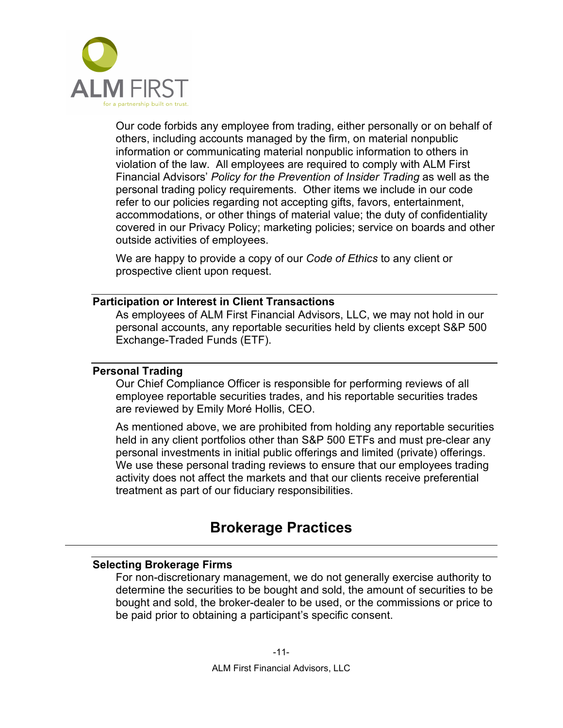

Our code forbids any employee from trading, either personally or on behalf of others, including accounts managed by the firm, on material nonpublic information or communicating material nonpublic information to others in violation of the law. All employees are required to comply with ALM First Financial Advisors' *Policy for the Prevention of Insider Trading* as well as the personal trading policy requirements. Other items we include in our code refer to our policies regarding not accepting gifts, favors, entertainment, accommodations, or other things of material value; the duty of confidentiality covered in our Privacy Policy; marketing policies; service on boards and other outside activities of employees.

We are happy to provide a copy of our *Code of Ethics* to any client or prospective client upon request.

### <span id="page-15-0"></span>**Participation or Interest in Client Transactions**

As employees of ALM First Financial Advisors, LLC, we may not hold in our personal accounts, any reportable securities held by clients except S&P 500 Exchange-Traded Funds (ETF).

### <span id="page-15-1"></span>**Personal Trading**

Our Chief Compliance Officer is responsible for performing reviews of all employee reportable securities trades, and his reportable securities trades are reviewed by Emily Moré Hollis, CEO.

As mentioned above, we are prohibited from holding any reportable securities held in any client portfolios other than S&P 500 ETFs and must pre-clear any personal investments in initial public offerings and limited (private) offerings. We use these personal trading reviews to ensure that our employees trading activity does not affect the markets and that our clients receive preferential treatment as part of our fiduciary responsibilities.

### **Brokerage Practices**

#### <span id="page-15-3"></span><span id="page-15-2"></span>**Selecting Brokerage Firms**

For non-discretionary management, we do not generally exercise authority to determine the securities to be bought and sold, the amount of securities to be bought and sold, the broker-dealer to be used, or the commissions or price to be paid prior to obtaining a participant's specific consent.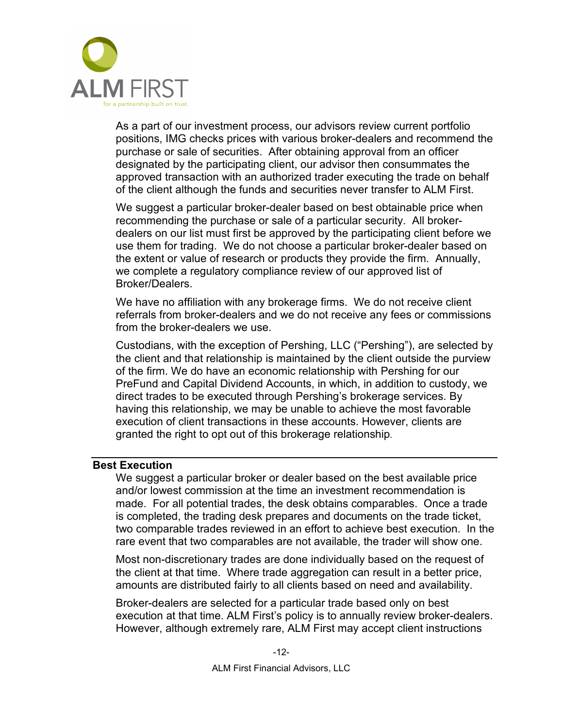

As a part of our investment process, our advisors review current portfolio positions, IMG checks prices with various broker-dealers and recommend the purchase or sale of securities. After obtaining approval from an officer designated by the participating client, our advisor then consummates the approved transaction with an authorized trader executing the trade on behalf of the client although the funds and securities never transfer to ALM First.

We suggest a particular broker-dealer based on best obtainable price when recommending the purchase or sale of a particular security. All brokerdealers on our list must first be approved by the participating client before we use them for trading. We do not choose a particular broker-dealer based on the extent or value of research or products they provide the firm. Annually, we complete a regulatory compliance review of our approved list of Broker/Dealers.

We have no affiliation with any brokerage firms. We do not receive client referrals from broker-dealers and we do not receive any fees or commissions from the broker-dealers we use.

Custodians, with the exception of Pershing, LLC ("Pershing"), are selected by the client and that relationship is maintained by the client outside the purview of the firm. We do have an economic relationship with Pershing for our PreFund and Capital Dividend Accounts, in which, in addition to custody, we direct trades to be executed through Pershing's brokerage services. By having this relationship, we may be unable to achieve the most favorable execution of client transactions in these accounts. However, clients are granted the right to opt out of this brokerage relationship.

#### <span id="page-16-0"></span>**Best Execution**

We suggest a particular broker or dealer based on the best available price and/or lowest commission at the time an investment recommendation is made. For all potential trades, the desk obtains comparables. Once a trade is completed, the trading desk prepares and documents on the trade ticket, two comparable trades reviewed in an effort to achieve best execution. In the rare event that two comparables are not available, the trader will show one.

Most non-discretionary trades are done individually based on the request of the client at that time. Where trade aggregation can result in a better price, amounts are distributed fairly to all clients based on need and availability.

Broker-dealers are selected for a particular trade based only on best execution at that time. ALM First's policy is to annually review broker-dealers. However, although extremely rare, ALM First may accept client instructions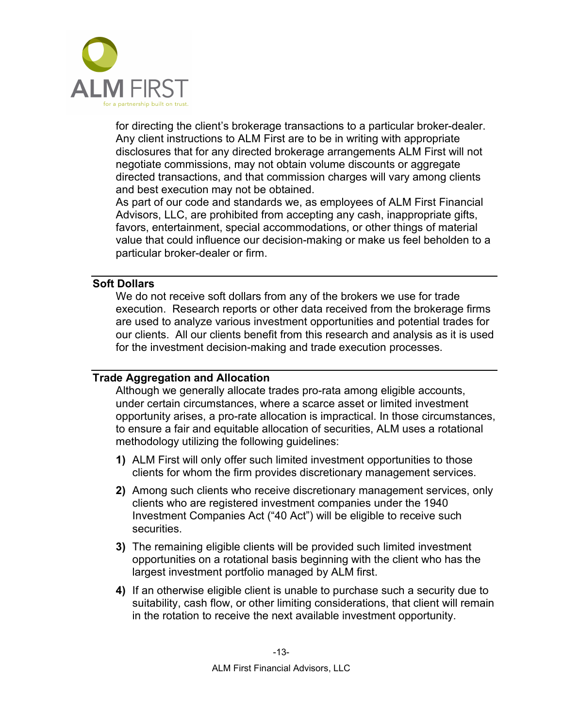

for directing the client's brokerage transactions to a particular broker-dealer. Any client instructions to ALM First are to be in writing with appropriate disclosures that for any directed brokerage arrangements ALM First will not negotiate commissions, may not obtain volume discounts or aggregate directed transactions, and that commission charges will vary among clients and best execution may not be obtained.

As part of our code and standards we, as employees of ALM First Financial Advisors, LLC, are prohibited from accepting any cash, inappropriate gifts, favors, entertainment, special accommodations, or other things of material value that could influence our decision-making or make us feel beholden to a particular broker-dealer or firm.

### <span id="page-17-0"></span>**Soft Dollars**

We do not receive soft dollars from any of the brokers we use for trade execution. Research reports or other data received from the brokerage firms are used to analyze various investment opportunities and potential trades for our clients. All our clients benefit from this research and analysis as it is used for the investment decision-making and trade execution processes.

### <span id="page-17-1"></span>**Trade Aggregation and Allocation**

Although we generally allocate trades pro-rata among eligible accounts, under certain circumstances, where a scarce asset or limited investment opportunity arises, a pro-rate allocation is impractical. In those circumstances, to ensure a fair and equitable allocation of securities, ALM uses a rotational methodology utilizing the following guidelines:

- **1)** ALM First will only offer such limited investment opportunities to those clients for whom the firm provides discretionary management services.
- **2)** Among such clients who receive discretionary management services, only clients who are registered investment companies under the 1940 Investment Companies Act ("40 Act") will be eligible to receive such securities.
- **3)** The remaining eligible clients will be provided such limited investment opportunities on a rotational basis beginning with the client who has the largest investment portfolio managed by ALM first.
- **4)** If an otherwise eligible client is unable to purchase such a security due to suitability, cash flow, or other limiting considerations, that client will remain in the rotation to receive the next available investment opportunity.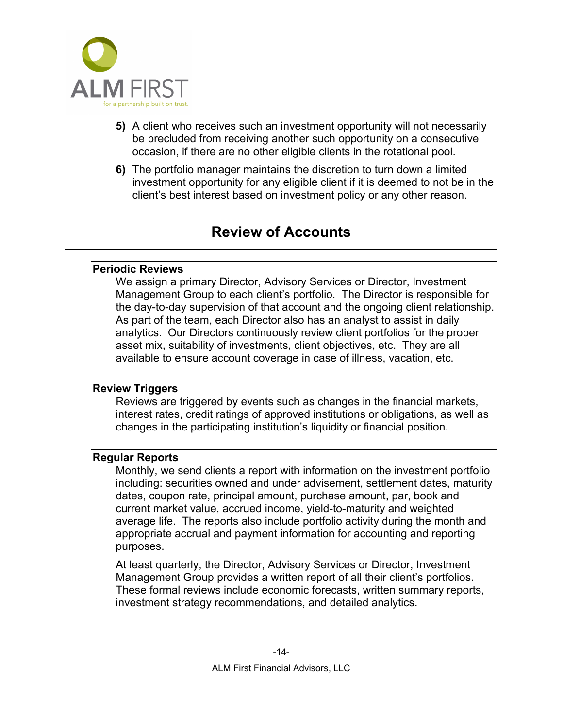

- **5)** A client who receives such an investment opportunity will not necessarily be precluded from receiving another such opportunity on a consecutive occasion, if there are no other eligible clients in the rotational pool.
- **6)** The portfolio manager maintains the discretion to turn down a limited investment opportunity for any eligible client if it is deemed to not be in the client's best interest based on investment policy or any other reason.

### **Review of Accounts**

### <span id="page-18-1"></span><span id="page-18-0"></span>**Periodic Reviews**

We assign a primary Director, Advisory Services or Director, Investment Management Group to each client's portfolio. The Director is responsible for the day-to-day supervision of that account and the ongoing client relationship. As part of the team, each Director also has an analyst to assist in daily analytics. Our Directors continuously review client portfolios for the proper asset mix, suitability of investments, client objectives, etc. They are all available to ensure account coverage in case of illness, vacation, etc.

### <span id="page-18-2"></span>**Review Triggers**

Reviews are triggered by events such as changes in the financial markets, interest rates, credit ratings of approved institutions or obligations, as well as changes in the participating institution's liquidity or financial position.

### <span id="page-18-3"></span>**Regular Reports**

Monthly, we send clients a report with information on the investment portfolio including: securities owned and under advisement, settlement dates, maturity dates, coupon rate, principal amount, purchase amount, par, book and current market value, accrued income, yield-to-maturity and weighted average life. The reports also include portfolio activity during the month and appropriate accrual and payment information for accounting and reporting purposes.

At least quarterly, the Director, Advisory Services or Director, Investment Management Group provides a written report of all their client's portfolios. These formal reviews include economic forecasts, written summary reports, investment strategy recommendations, and detailed analytics.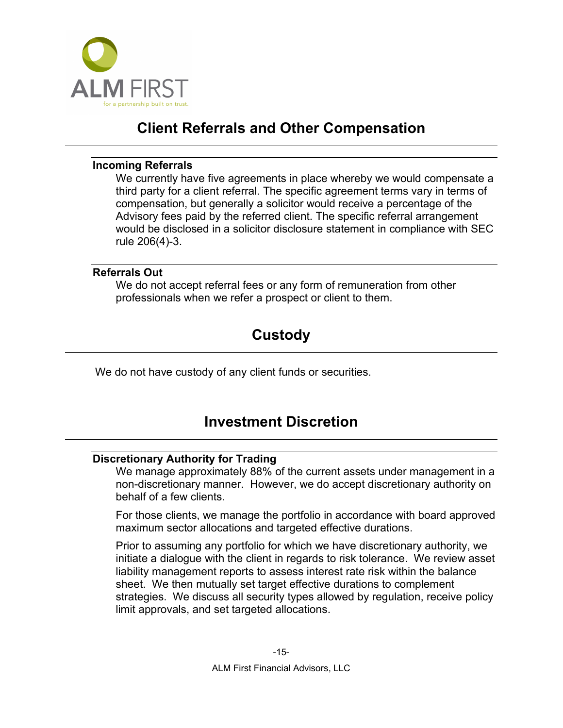

## **Client Referrals and Other Compensation**

### <span id="page-19-1"></span><span id="page-19-0"></span>**Incoming Referrals**

We currently have five agreements in place whereby we would compensate a third party for a client referral. The specific agreement terms vary in terms of compensation, but generally a solicitor would receive a percentage of the Advisory fees paid by the referred client. The specific referral arrangement would be disclosed in a solicitor disclosure statement in compliance with SEC rule 206(4)-3.

### <span id="page-19-3"></span><span id="page-19-2"></span>**Referrals Out**

We do not accept referral fees or any form of remuneration from other professionals when we refer a prospect or client to them.

## **Custody**

<span id="page-19-4"></span>We do not have custody of any client funds or securities.

## **Investment Discretion**

### <span id="page-19-5"></span>**Discretionary Authority for Trading**

We manage approximately 88% of the current assets under management in a non-discretionary manner. However, we do accept discretionary authority on behalf of a few clients.

For those clients, we manage the portfolio in accordance with board approved maximum sector allocations and targeted effective durations.

Prior to assuming any portfolio for which we have discretionary authority, we initiate a dialogue with the client in regards to risk tolerance. We review asset liability management reports to assess interest rate risk within the balance sheet. We then mutually set target effective durations to complement strategies. We discuss all security types allowed by regulation, receive policy limit approvals, and set targeted allocations.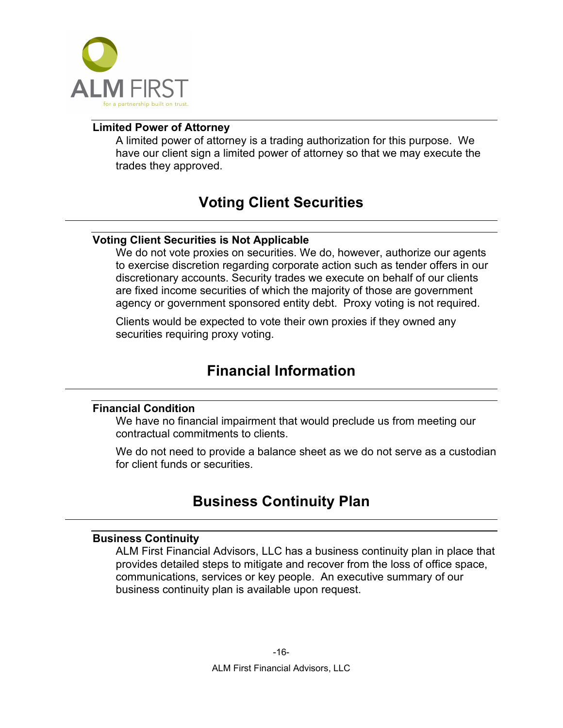

### <span id="page-20-1"></span><span id="page-20-0"></span>**Limited Power of Attorney**

A limited power of attorney is a trading authorization for this purpose. We have our client sign a limited power of attorney so that we may execute the trades they approved.

## **Voting Client Securities**

### <span id="page-20-2"></span>**Voting Client Securities is Not Applicable**

We do not vote proxies on securities. We do, however, authorize our agents to exercise discretion regarding corporate action such as tender offers in our discretionary accounts. Security trades we execute on behalf of our clients are fixed income securities of which the majority of those are government agency or government sponsored entity debt. Proxy voting is not required.

<span id="page-20-3"></span>Clients would be expected to vote their own proxies if they owned any securities requiring proxy voting.

## **Financial Information**

### <span id="page-20-4"></span>**Financial Condition**

We have no financial impairment that would preclude us from meeting our contractual commitments to clients.

<span id="page-20-5"></span>We do not need to provide a balance sheet as we do not serve as a custodian for client funds or securities.

## **Business Continuity Plan**

### <span id="page-20-6"></span>**Business Continuity**

ALM First Financial Advisors, LLC has a business continuity plan in place that provides detailed steps to mitigate and recover from the loss of office space, communications, services or key people. An executive summary of our business continuity plan is available upon request.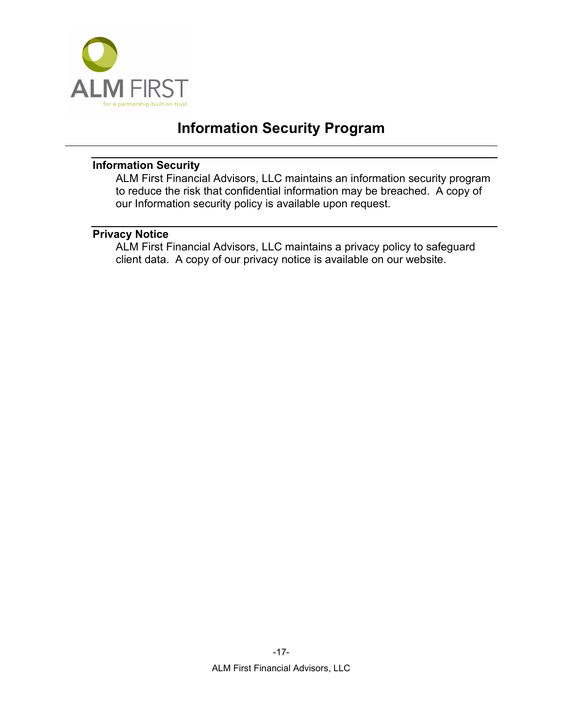

## **Information Security Program**

### <span id="page-21-1"></span><span id="page-21-0"></span>**Information Security**

ALM First Financial Advisors, LLC maintains an information security program to reduce the risk that confidential information may be breached. A copy of our Information security policy is available upon request.

### <span id="page-21-2"></span>**Privacy Notice**

ALM First Financial Advisors, LLC maintains a privacy policy to safeguard client data. A copy of our privacy notice is available on our website.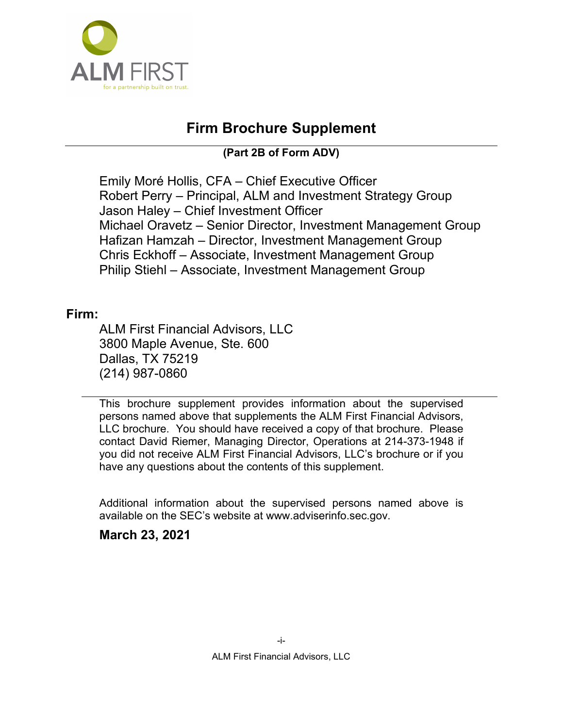

## **Firm Brochure Supplement**

**(Part 2B of Form ADV)**

<span id="page-22-0"></span>Emily Moré Hollis, CFA – Chief Executive Officer Robert Perry – Principal, ALM and Investment Strategy Group Jason Haley – Chief Investment Officer Michael Oravetz – Senior Director, Investment Management Group Hafizan Hamzah – Director, Investment Management Group Chris Eckhoff – Associate, Investment Management Group Philip Stiehl – Associate, Investment Management Group

### **Firm:**

ALM First Financial Advisors, LLC 3800 Maple Avenue, Ste. 600 Dallas, TX 75219 (214) 987-0860

This brochure supplement provides information about the supervised persons named above that supplements the ALM First Financial Advisors, LLC brochure. You should have received a copy of that brochure. Please contact David Riemer, Managing Director, Operations at 214-373-1948 if you did not receive ALM First Financial Advisors, LLC's brochure or if you have any questions about the contents of this supplement.

Additional information about the supervised persons named above is available on the SEC's website at www.adviserinfo.sec.gov.

### **March 23, 2021**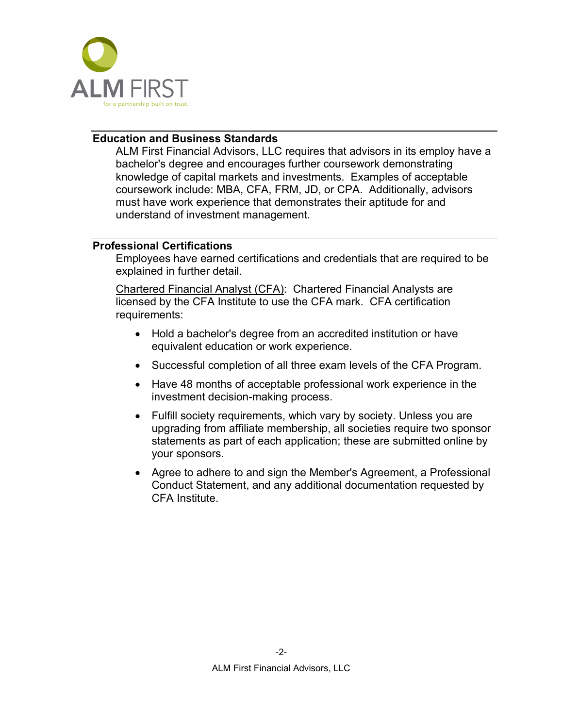

### <span id="page-23-0"></span>**Education and Business Standards**

ALM First Financial Advisors, LLC requires that advisors in its employ have a bachelor's degree and encourages further coursework demonstrating knowledge of capital markets and investments. Examples of acceptable coursework include: MBA, CFA, FRM, JD, or CPA. Additionally, advisors must have work experience that demonstrates their aptitude for and understand of investment management.

### <span id="page-23-1"></span>**Professional Certifications**

Employees have earned certifications and credentials that are required to be explained in further detail.

Chartered Financial Analyst (CFA): Chartered Financial Analysts are licensed by the CFA Institute to use the CFA mark. CFA certification requirements:

- Hold a bachelor's degree from an accredited institution or have equivalent education or work experience.
- Successful completion of all three exam levels of the CFA Program.
- Have 48 months of [acceptable professional work experience](http://www.cfainstitute.org/about/membership/process/Pages/work_experience.aspx) in the investment decision-making process.
- Fulfill society requirements, which vary by society. Unless you are upgrading from affiliate membership, all societies require [two sponsor](http://www.cfainstitute.org/about/membership/process/Pages/membership_sponsors.aspx)  [statements](http://www.cfainstitute.org/about/membership/process/Pages/membership_sponsors.aspx) as part of each application; these are submitted online by your sponsors.
- Agree to adhere to and sign the Member's Agreement, a [Professional](http://www.cfainstitute.org/ethics/conduct/Pages/about_pcs.aspx)  [Conduct Statement,](http://www.cfainstitute.org/ethics/conduct/Pages/about_pcs.aspx) and any additional documentation requested by CFA Institute.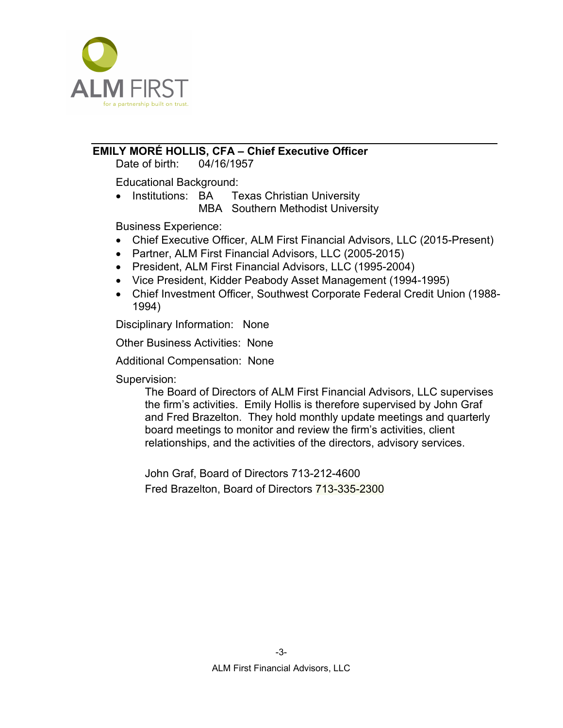

### <span id="page-24-0"></span>**EMILY MORÉ HOLLIS, CFA – Chief Executive Officer**

Date of birth: 04/16/1957

Educational Background:

• Institutions: BA Texas Christian University MBA Southern Methodist University

Business Experience:

- Chief Executive Officer, ALM First Financial Advisors, LLC (2015-Present)
- Partner, ALM First Financial Advisors, LLC (2005-2015)
- President, ALM First Financial Advisors, LLC (1995-2004)
- Vice President, Kidder Peabody Asset Management (1994-1995)
- Chief Investment Officer, Southwest Corporate Federal Credit Union (1988- 1994)

Disciplinary Information: None

Other Business Activities: None

Additional Compensation: None

Supervision:

The Board of Directors of ALM First Financial Advisors, LLC supervises the firm's activities. Emily Hollis is therefore supervised by John Graf and Fred Brazelton. They hold monthly update meetings and quarterly board meetings to monitor and review the firm's activities, client relationships, and the activities of the directors, advisory services.

John Graf, Board of Directors 713-212-4600 Fred Brazelton, Board of Directors 713-335-2300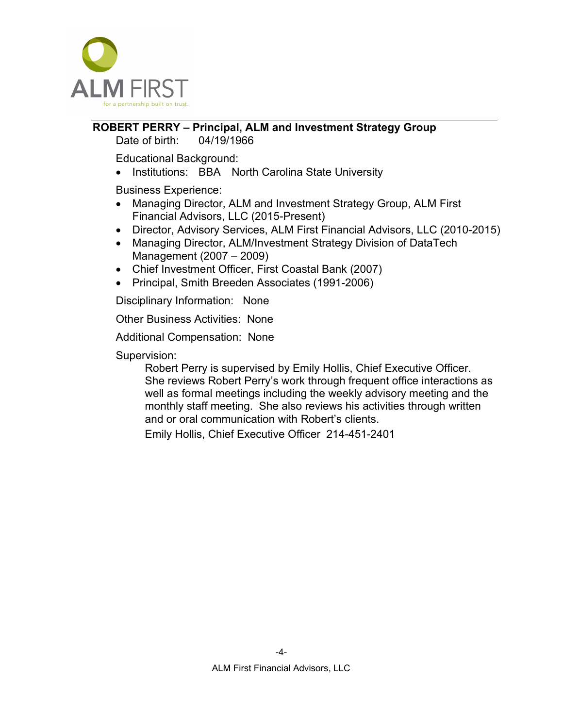

#### <span id="page-25-0"></span>**ROBERT PERRY – Principal, ALM and Investment Strategy Group** Date of birth: 04/19/1966

Educational Background:

• Institutions: BBA North Carolina State University

Business Experience:

- Managing Director, ALM and Investment Strategy Group, ALM First Financial Advisors, LLC (2015-Present)
- Director, Advisory Services, ALM First Financial Advisors, LLC (2010-2015)
- Managing Director, ALM/Investment Strategy Division of DataTech Management (2007 – 2009)
- Chief Investment Officer, First Coastal Bank (2007)
- Principal, Smith Breeden Associates (1991-2006)

Disciplinary Information: None

Other Business Activities: None

Additional Compensation: None

Supervision:

Robert Perry is supervised by Emily Hollis, Chief Executive Officer. She reviews Robert Perry's work through frequent office interactions as well as formal meetings including the weekly advisory meeting and the monthly staff meeting. She also reviews his activities through written and or oral communication with Robert's clients.

Emily Hollis, Chief Executive Officer 214-451-2401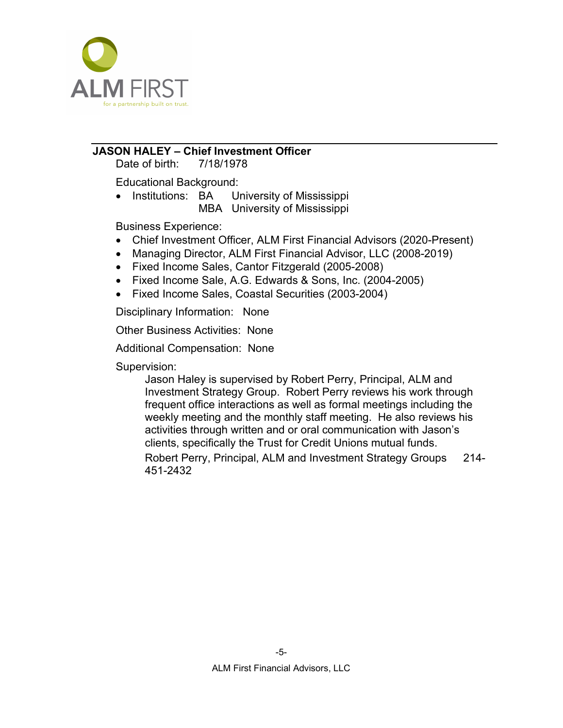

### <span id="page-26-0"></span>**JASON HALEY – Chief Investment Officer**

Date of birth: 7/18/1978

Educational Background:

• Institutions: BA University of Mississippi MBA University of Mississippi

Business Experience:

- Chief Investment Officer, ALM First Financial Advisors (2020-Present)
- Managing Director, ALM First Financial Advisor, LLC (2008-2019)
- Fixed Income Sales, Cantor Fitzgerald (2005-2008)
- Fixed Income Sale, A.G. Edwards & Sons, Inc. (2004-2005)
- Fixed Income Sales, Coastal Securities (2003-2004)

Disciplinary Information: None

Other Business Activities: None

Additional Compensation: None

Supervision:

Jason Haley is supervised by Robert Perry, Principal, ALM and Investment Strategy Group. Robert Perry reviews his work through frequent office interactions as well as formal meetings including the weekly meeting and the monthly staff meeting. He also reviews his activities through written and or oral communication with Jason's clients, specifically the Trust for Credit Unions mutual funds.

Robert Perry, Principal, ALM and Investment Strategy Groups 214- 451-2432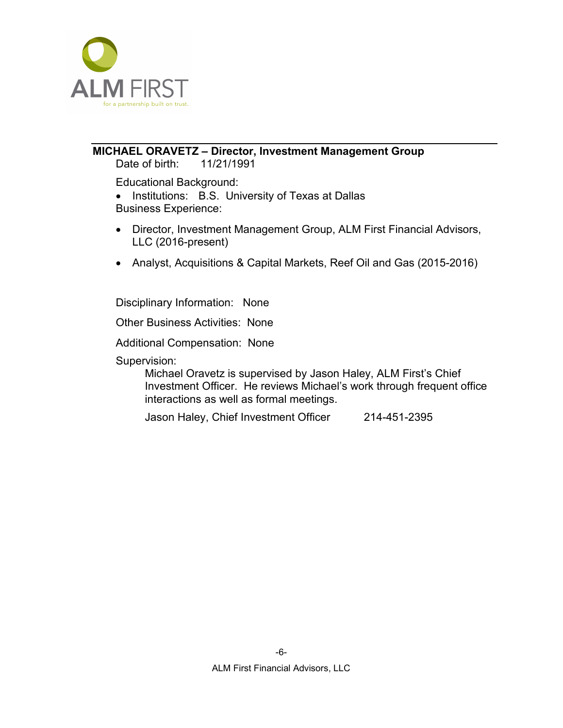

### <span id="page-27-0"></span>**MICHAEL ORAVETZ – Director, Investment Management Group**

Date of birth: 11/21/1991

Educational Background:

• Institutions: B.S. University of Texas at Dallas

Business Experience:

- Director, Investment Management Group, ALM First Financial Advisors, LLC (2016-present)
- Analyst, Acquisitions & Capital Markets, Reef Oil and Gas (2015-2016)

Disciplinary Information: None

Other Business Activities: None

Additional Compensation: None

Supervision:

Michael Oravetz is supervised by Jason Haley, ALM First's Chief Investment Officer. He reviews Michael's work through frequent office interactions as well as formal meetings.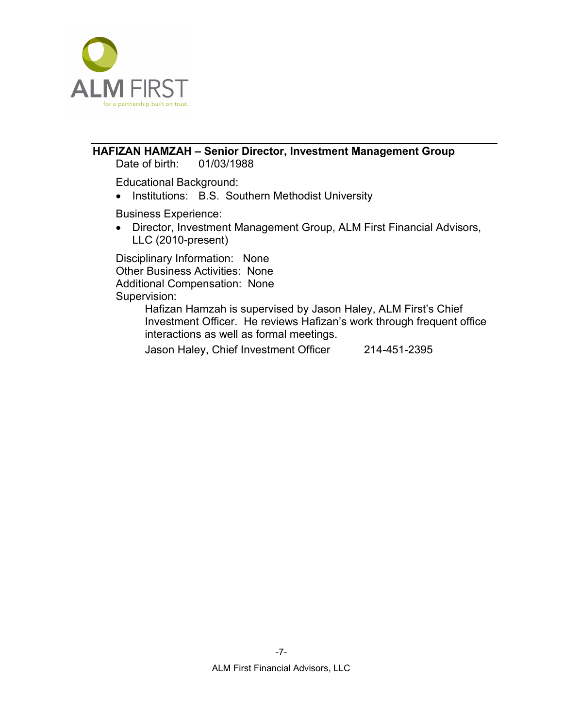

### <span id="page-28-0"></span>**HAFIZAN HAMZAH – Senior Director, Investment Management Group**

Date of birth: 01/03/1988

Educational Background:

• Institutions: B.S. Southern Methodist University

Business Experience:

• Director, Investment Management Group, ALM First Financial Advisors, LLC (2010-present)

Disciplinary Information: None Other Business Activities: None Additional Compensation: None Supervision:

Hafizan Hamzah is supervised by Jason Haley, ALM First's Chief Investment Officer. He reviews Hafizan's work through frequent office interactions as well as formal meetings.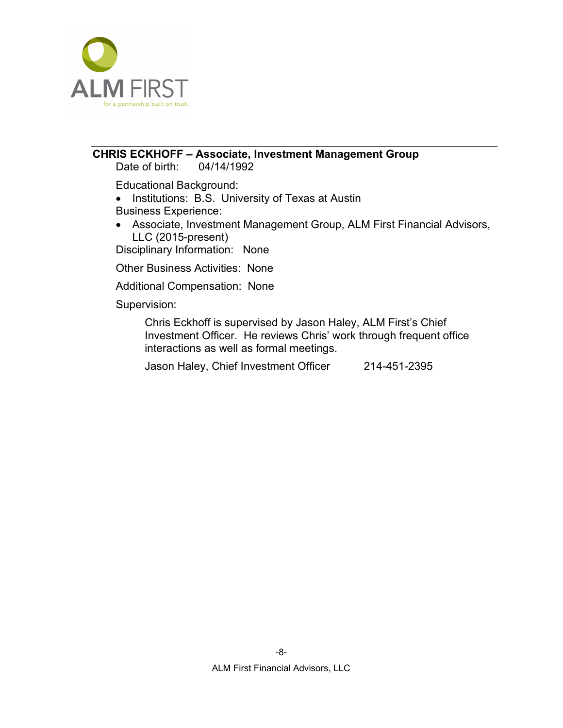

# <span id="page-29-0"></span>**CHRIS ECKHOFF – Associate, Investment Management Group**

Date of birth:

Educational Background:

• Institutions: B.S. University of Texas at Austin

Business Experience:

• Associate, Investment Management Group, ALM First Financial Advisors, LLC (2015-present)

Disciplinary Information: None

Other Business Activities: None

Additional Compensation: None

Supervision:

Chris Eckhoff is supervised by Jason Haley, ALM First's Chief Investment Officer. He reviews Chris' work through frequent office interactions as well as formal meetings.